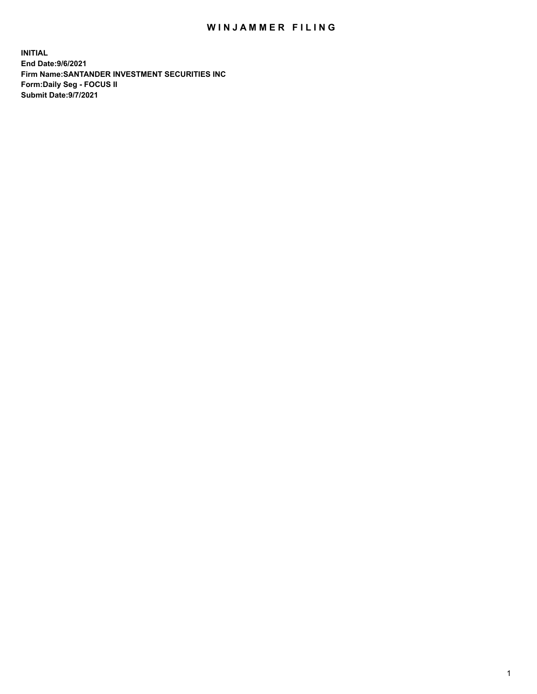## WIN JAMMER FILING

**INITIAL End Date:9/6/2021 Firm Name:SANTANDER INVESTMENT SECURITIES INC Form:Daily Seg - FOCUS II Submit Date:9/7/2021**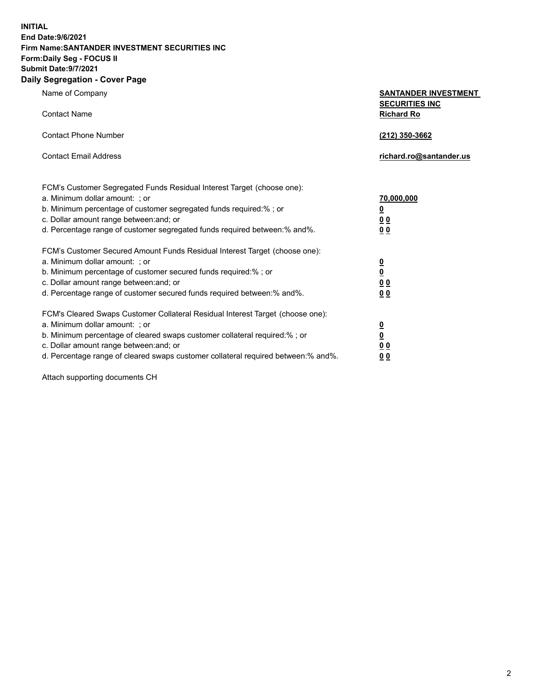**INITIAL End Date:9/6/2021 Firm Name:SANTANDER INVESTMENT SECURITIES INC Form:Daily Seg - FOCUS II Submit Date:9/7/2021 Daily Segregation - Cover Page**

| Name of Company                                                                   | <b>SANTANDER INVESTMENT</b>                |
|-----------------------------------------------------------------------------------|--------------------------------------------|
| <b>Contact Name</b>                                                               | <b>SECURITIES INC</b><br><b>Richard Ro</b> |
| <b>Contact Phone Number</b>                                                       | (212) 350-3662                             |
| <b>Contact Email Address</b>                                                      | richard.ro@santander.us                    |
| FCM's Customer Segregated Funds Residual Interest Target (choose one):            |                                            |
| a. Minimum dollar amount: ; or                                                    | 70,000,000                                 |
| b. Minimum percentage of customer segregated funds required:% ; or                | <u>0</u>                                   |
| c. Dollar amount range between: and; or                                           | 0 <sub>0</sub>                             |
| d. Percentage range of customer segregated funds required between:% and%.         | 0 <sub>0</sub>                             |
| FCM's Customer Secured Amount Funds Residual Interest Target (choose one):        |                                            |
| a. Minimum dollar amount: ; or                                                    | $\frac{\Omega}{\Omega}$                    |
| b. Minimum percentage of customer secured funds required:%; or                    |                                            |
| c. Dollar amount range between: and; or                                           | 0 <sub>0</sub>                             |
| d. Percentage range of customer secured funds required between: % and %.          | 0 <sub>0</sub>                             |
| FCM's Cleared Swaps Customer Collateral Residual Interest Target (choose one):    |                                            |
| a. Minimum dollar amount: ; or                                                    | $\overline{\mathbf{0}}$                    |
| b. Minimum percentage of cleared swaps customer collateral required:% ; or        | $\underline{\mathbf{0}}$                   |
| c. Dollar amount range between: and; or                                           | 0 <sub>0</sub>                             |
| d. Percentage range of cleared swaps customer collateral required between:% and%. | 0 <sub>0</sub>                             |

Attach supporting documents CH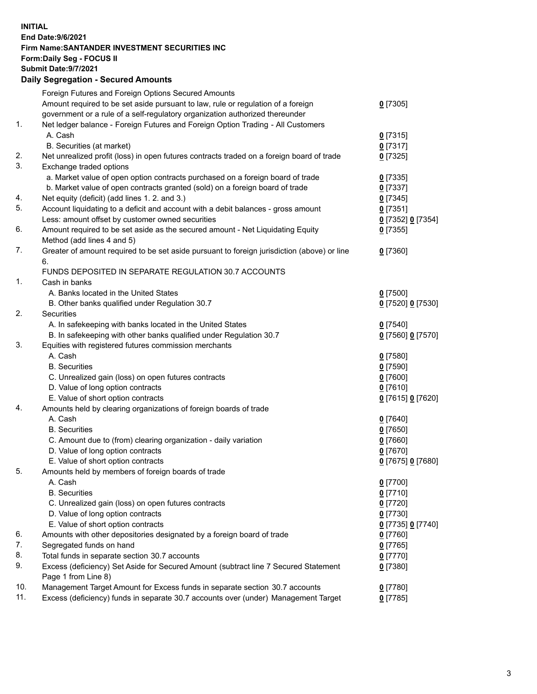## **INITIAL End Date:9/6/2021 Firm Name:SANTANDER INVESTMENT SECURITIES INC Form:Daily Seg - FOCUS II Submit Date:9/7/2021 Daily Segregation - Secured Amounts** Foreign Futures and Foreign Options Secured Amounts Amount required to be set aside pursuant to law, rule or regulation of a foreign government or a rule of a self-regulatory organization authorized thereunder 1. Net ledger balance - Foreign Futures and Foreign Option Trading - All Customers A. Cash **0** [7315] B. Securities (at market) **0** [7317] 2. Net unrealized profit (loss) in open futures contracts traded on a foreign board of trade **0** [7325] 3. Exchange traded options a. Market value of open option contracts purchased on a foreign board of trade **0** [7335] b. Market value of open contracts granted (sold) on a foreign board of trade **0** [7337] 4. Net equity (deficit) (add lines 1. 2. and 3.) **0** [7345] 5. Account liquidating to a deficit and account with a debit balances - gross amount **0** [7351] Less: amount offset by customer owned securities **0** [7352] **0** [7354]

6. Amount required to be set aside as the secured amount - Net Liquidating Equity Method (add lines 4 and 5) **0** [7355] 7. Greater of amount required to be set aside pursuant to foreign jurisdiction (above) or line 6. **0** [7360] FUNDS DEPOSITED IN SEPARATE REGULATION 30.7 ACCOUNTS 1. Cash in banks A. Banks located in the United States **0** [7500] B. Other banks qualified under Regulation 30.7 **0** [7520] **0** [7530] 2. Securities A. In safekeeping with banks located in the United States **0** [7540] B. In safekeeping with other banks qualified under Regulation 30.7 **0** [7560] **0** [7570] 3. Equities with registered futures commission merchants A. Cash **0** [7580] B. Securities **0** [7590] C. Unrealized gain (loss) on open futures contracts **0** [7600] D. Value of long option contracts **0** [7610] E. Value of short option contracts **0** [7615] **0** [7620] 4. Amounts held by clearing organizations of foreign boards of trade A. Cash **0** [7640] B. Securities **0** [7650] C. Amount due to (from) clearing organization - daily variation **0** [7660] D. Value of long option contracts **0** [7670] E. Value of short option contracts **0** [7675] **0** [7680] 5. Amounts held by members of foreign boards of trade A. Cash **0** [7700] B. Securities **0** [7710] C. Unrealized gain (loss) on open futures contracts **0** [7720] D. Value of long option contracts **0** [7730] E. Value of short option contracts **0** [7735] **0** [7740] 6. Amounts with other depositories designated by a foreign board of trade **0** [7760] 7. Segregated funds on hand **0** [7765] 8. Total funds in separate section 30.7 accounts **0** [7770] 9. Excess (deficiency) Set Aside for Secured Amount (subtract line 7 Secured Statement Page 1 from Line 8) **0** [7380]

10. Management Target Amount for Excess funds in separate section 30.7 accounts **0** [7780] 11. Excess (deficiency) funds in separate 30.7 accounts over (under) Management Target **0** [7785]

**0** [7305]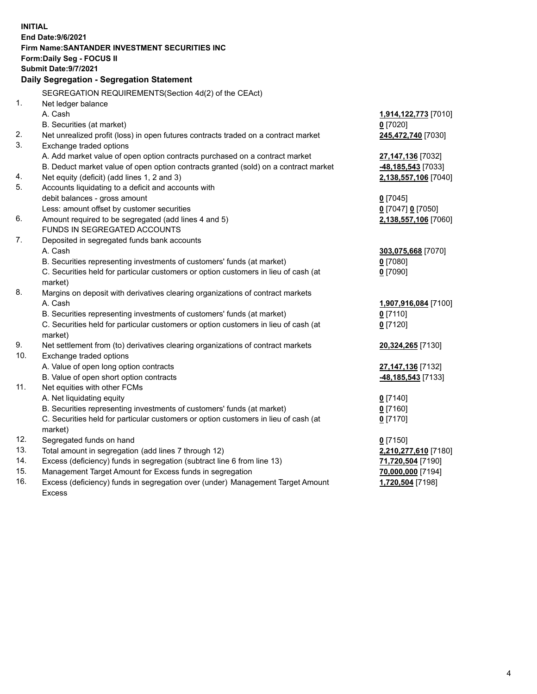| <b>INITIAL</b> | End Date: 9/6/2021                                                                        |                                    |
|----------------|-------------------------------------------------------------------------------------------|------------------------------------|
|                | Firm Name: SANTANDER INVESTMENT SECURITIES INC                                            |                                    |
|                | Form: Daily Seg - FOCUS II                                                                |                                    |
|                | <b>Submit Date: 9/7/2021</b>                                                              |                                    |
|                | Daily Segregation - Segregation Statement                                                 |                                    |
|                | SEGREGATION REQUIREMENTS(Section 4d(2) of the CEAct)                                      |                                    |
| 1.             | Net ledger balance                                                                        |                                    |
|                | A. Cash                                                                                   | 1,914,122,773 [7010]               |
|                | B. Securities (at market)                                                                 | $0$ [7020]                         |
| 2.             | Net unrealized profit (loss) in open futures contracts traded on a contract market        | 245,472,740 [7030]                 |
| 3.             | Exchange traded options                                                                   |                                    |
|                | A. Add market value of open option contracts purchased on a contract market               | 27,147,136 [7032]                  |
|                | B. Deduct market value of open option contracts granted (sold) on a contract market       | -48,185,543 [7033]                 |
| 4.             | Net equity (deficit) (add lines 1, 2 and 3)                                               | 2,138,557,106 [7040]               |
| 5.             | Accounts liquidating to a deficit and accounts with                                       |                                    |
|                | debit balances - gross amount                                                             | $0$ [7045]                         |
|                | Less: amount offset by customer securities                                                | 0 [7047] 0 [7050]                  |
| 6.             | Amount required to be segregated (add lines 4 and 5)                                      | 2,138,557,106 [7060]               |
|                | FUNDS IN SEGREGATED ACCOUNTS                                                              |                                    |
| 7.             | Deposited in segregated funds bank accounts                                               |                                    |
|                | A. Cash                                                                                   | 303,075,668 [7070]                 |
|                | B. Securities representing investments of customers' funds (at market)                    | $0$ [7080]                         |
|                | C. Securities held for particular customers or option customers in lieu of cash (at       | $0$ [7090]                         |
| 8.             | market)                                                                                   |                                    |
|                | Margins on deposit with derivatives clearing organizations of contract markets<br>A. Cash |                                    |
|                | B. Securities representing investments of customers' funds (at market)                    | 1,907,916,084 [7100]<br>$0$ [7110] |
|                | C. Securities held for particular customers or option customers in lieu of cash (at       | $0$ [7120]                         |
|                | market)                                                                                   |                                    |
| 9.             | Net settlement from (to) derivatives clearing organizations of contract markets           | 20,324,265 [7130]                  |
| 10.            | Exchange traded options                                                                   |                                    |
|                | A. Value of open long option contracts                                                    | 27,147,136 [7132]                  |
|                | B. Value of open short option contracts                                                   | <b>-48,185,543</b> [7133]          |
| 11.            | Net equities with other FCMs                                                              |                                    |
|                | A. Net liquidating equity                                                                 | $0$ [7140]                         |
|                | B. Securities representing investments of customers' funds (at market)                    | $0$ [7160]                         |
|                | C. Securities held for particular customers or option customers in lieu of cash (at       | $0$ [7170]                         |
|                | market)                                                                                   |                                    |
| 12.            | Segregated funds on hand                                                                  | $0$ [7150]                         |
| 13.            | Total amount in segregation (add lines 7 through 12)                                      | 2,210,277,610 [7180]               |
| 14.            | Excess (deficiency) funds in segregation (subtract line 6 from line 13)                   | 71,720,504 [7190]                  |
| 15.            | Management Target Amount for Excess funds in segregation                                  | 70,000,000 [7194]                  |
| 16.            | Excess (deficiency) funds in segregation over (under) Management Target Amount            | 1,720,504 [7198]                   |
|                | <b>Excess</b>                                                                             |                                    |